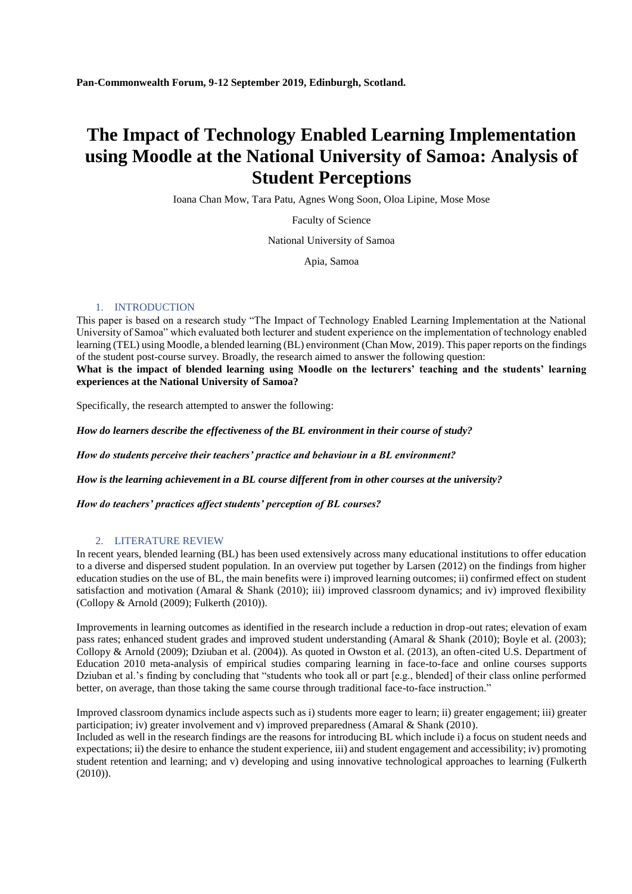# **The Impact of Technology Enabled Learning Implementation using Moodle at the National University of Samoa: Analysis of Student Perceptions**

Ioana Chan Mow, Tara Patu, Agnes Wong Soon, Oloa Lipine, Mose Mose

Faculty of Science

National University of Samoa

Apia, Samoa

## 1. INTRODUCTION

This paper is based on a research study "The Impact of Technology Enabled Learning Implementation at the National University of Samoa" which evaluated both lecturer and student experience on the implementation of technology enabled learning (TEL) using Moodle, a blended learning (BL) environment (Chan Mow, 2019). This paper reports on the findings of the student post-course survey. Broadly, the research aimed to answer the following question:

**What is the impact of blended learning using Moodle on the lecturers' teaching and the students' learning experiences at the National University of Samoa?**

Specifically, the research attempted to answer the following:

*How do learners describe the effectiveness of the BL environment in their course of study?* 

*How do students perceive their teachers' practice and behaviour in a BL environment?* 

*How is the learning achievement in a BL course different from in other courses at the university?* 

*How do teachers' practices affect students' perception of BL courses?* 

## 2. LITERATURE REVIEW

In recent years, blended learning (BL) has been used extensively across many educational institutions to offer education to a diverse and dispersed student population. In an overview put together by Larsen (2012) on the findings from higher education studies on the use of BL, the main benefits were i) improved learning outcomes; ii) confirmed effect on student satisfaction and motivation (Amaral & Shank (2010); iii) improved classroom dynamics; and iv) improved flexibility (Collopy & Arnold (2009); Fulkerth (2010)).

Improvements in learning outcomes as identified in the research include a reduction in drop-out rates; elevation of exam pass rates; enhanced student grades and improved student understanding (Amaral & Shank (2010); Boyle et al. (2003); Collopy & Arnold (2009); Dziuban et al. (2004)). As quoted in Owston et al. (2013), an often-cited U.S. Department of Education 2010 meta-analysis of empirical studies comparing learning in face-to-face and online courses supports Dziuban et al.'s finding by concluding that "students who took all or part [e.g., blended] of their class online performed better, on average, than those taking the same course through traditional face-to-face instruction."

Improved classroom dynamics include aspects such as i) students more eager to learn; ii) greater engagement; iii) greater participation; iv) greater involvement and v) improved preparedness (Amaral & Shank (2010). Included as well in the research findings are the reasons for introducing BL which include i) a focus on student needs and

expectations; ii) the desire to enhance the student experience, iii) and student engagement and accessibility; iv) promoting student retention and learning; and v) developing and using innovative technological approaches to learning (Fulkerth (2010)).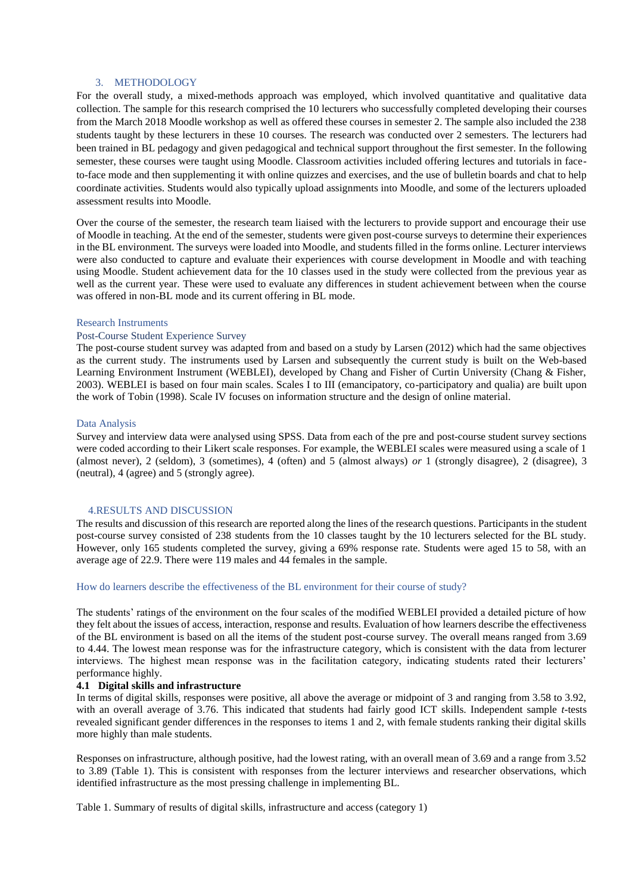### 3. METHODOLOGY

For the overall study, a mixed-methods approach was employed, which involved quantitative and qualitative data collection. The sample for this research comprised the 10 lecturers who successfully completed developing their courses from the March 2018 Moodle workshop as well as offered these courses in semester 2. The sample also included the 238 students taught by these lecturers in these 10 courses. The research was conducted over 2 semesters. The lecturers had been trained in BL pedagogy and given pedagogical and technical support throughout the first semester. In the following semester, these courses were taught using Moodle. Classroom activities included offering lectures and tutorials in faceto-face mode and then supplementing it with online quizzes and exercises, and the use of bulletin boards and chat to help coordinate activities. Students would also typically upload assignments into Moodle, and some of the lecturers uploaded assessment results into Moodle.

Over the course of the semester, the research team liaised with the lecturers to provide support and encourage their use of Moodle in teaching. At the end of the semester, students were given post-course surveys to determine their experiences in the BL environment. The surveys were loaded into Moodle, and students filled in the forms online. Lecturer interviews were also conducted to capture and evaluate their experiences with course development in Moodle and with teaching using Moodle. Student achievement data for the 10 classes used in the study were collected from the previous year as well as the current year. These were used to evaluate any differences in student achievement between when the course was offered in non-BL mode and its current offering in BL mode.

## Research Instruments

## Post-Course Student Experience Survey

The post-course student survey was adapted from and based on a study by Larsen (2012) which had the same objectives as the current study. The instruments used by Larsen and subsequently the current study is built on the Web-based Learning Environment Instrument (WEBLEI), developed by Chang and Fisher of Curtin University (Chang & Fisher, 2003). WEBLEI is based on four main scales. Scales I to III (emancipatory, co-participatory and qualia) are built upon the work of Tobin (1998). Scale IV focuses on information structure and the design of online material.

#### Data Analysis

Survey and interview data were analysed using SPSS. Data from each of the pre and post-course student survey sections were coded according to their Likert scale responses. For example, the WEBLEI scales were measured using a scale of 1 (almost never), 2 (seldom), 3 (sometimes), 4 (often) and 5 (almost always) *or* 1 (strongly disagree), 2 (disagree), 3 (neutral), 4 (agree) and 5 (strongly agree).

## 4.RESULTS AND DISCUSSION

The results and discussion of this research are reported along the lines of the research questions. Participants in the student post-course survey consisted of 238 students from the 10 classes taught by the 10 lecturers selected for the BL study. However, only 165 students completed the survey, giving a 69% response rate. Students were aged 15 to 58, with an average age of 22.9. There were 119 males and 44 females in the sample.

## How do learners describe the effectiveness of the BL environment for their course of study?

The students' ratings of the environment on the four scales of the modified WEBLEI provided a detailed picture of how they felt about the issues of access, interaction, response and results. Evaluation of how learners describe the effectiveness of the BL environment is based on all the items of the student post-course survey. The overall means ranged from 3.69 to 4.44. The lowest mean response was for the infrastructure category, which is consistent with the data from lecturer interviews. The highest mean response was in the facilitation category, indicating students rated their lecturers' performance highly.

#### **4.1 Digital skills and infrastructure**

In terms of digital skills, responses were positive, all above the average or midpoint of 3 and ranging from 3.58 to 3.92, with an overall average of 3.76. This indicated that students had fairly good ICT skills. Independent sample *t*-tests revealed significant gender differences in the responses to items 1 and 2, with female students ranking their digital skills more highly than male students.

Responses on infrastructure, although positive, had the lowest rating, with an overall mean of 3.69 and a range from 3.52 to 3.89 (Table 1). This is consistent with responses from the lecturer interviews and researcher observations, which identified infrastructure as the most pressing challenge in implementing BL.

Table 1. Summary of results of digital skills, infrastructure and access (category 1)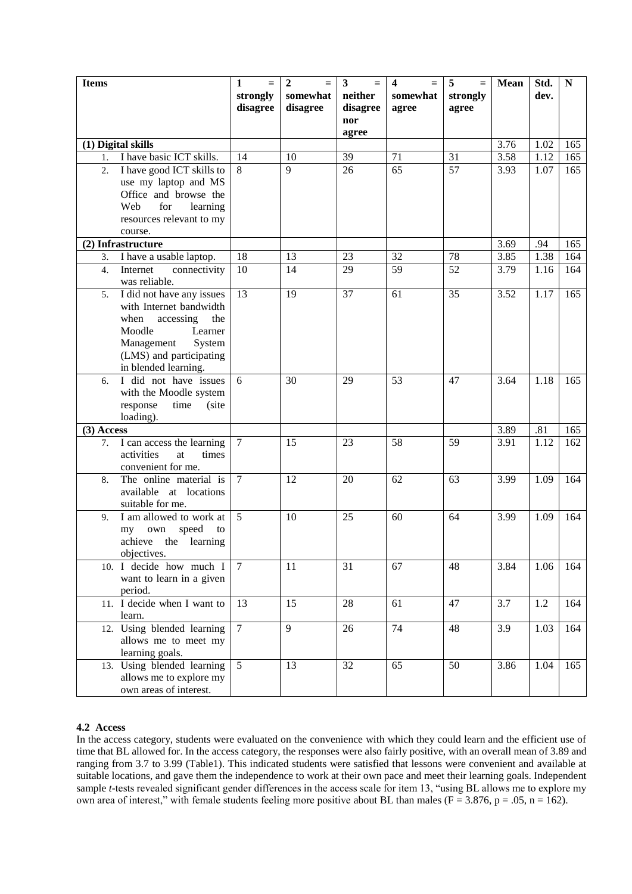| <b>Items</b> |                                               | 1<br>$=$        | $\overline{2}$<br>$=$ | $\overline{\mathbf{3}}$<br>$=$ | $\overline{\mathbf{4}}$<br>$\equiv$ | 5<br>$=$ | <b>Mean</b>      | Std. | $\mathbf N$ |
|--------------|-----------------------------------------------|-----------------|-----------------------|--------------------------------|-------------------------------------|----------|------------------|------|-------------|
|              |                                               | strongly        | somewhat              | neither                        | somewhat                            | strongly |                  | dev. |             |
|              |                                               | disagree        | disagree              | disagree                       | agree                               | agree    |                  |      |             |
|              |                                               |                 |                       | nor                            |                                     |          |                  |      |             |
|              |                                               |                 |                       | agree                          |                                     |          |                  |      |             |
|              | (1) Digital skills                            |                 |                       |                                |                                     |          | 3.76             | 1.02 | 165         |
| 1.           | I have basic ICT skills.                      | 14              | 10                    | 39                             | 71                                  | 31       | 3.58             | 1.12 | 165         |
| 2.           | I have good ICT skills to                     | 8               | $\overline{9}$        | $\overline{26}$                | 65                                  | 57       | 3.93             | 1.07 | 165         |
|              | use my laptop and MS                          |                 |                       |                                |                                     |          |                  |      |             |
|              | Office and browse the                         |                 |                       |                                |                                     |          |                  |      |             |
|              | for<br>learning<br>Web                        |                 |                       |                                |                                     |          |                  |      |             |
|              | resources relevant to my                      |                 |                       |                                |                                     |          |                  |      |             |
|              | course.                                       |                 |                       |                                |                                     |          |                  |      |             |
|              | (2) Infrastructure                            |                 |                       |                                |                                     |          | 3.69             | .94  | 165         |
| 3.           | I have a usable laptop.                       | 18              | 13                    | 23                             | 32                                  | 78       | 3.85             | 1.38 | 164         |
| 4.           | Internet<br>connectivity                      | 10              | 14                    | 29                             | 59                                  | 52       | 3.79             | 1.16 | 164         |
|              | was reliable.                                 |                 |                       |                                |                                     |          |                  |      |             |
| 5.           | I did not have any issues                     | $\overline{13}$ | 19                    | 37                             | 61                                  | 35       | 3.52             | 1.17 | 165         |
|              | with Internet bandwidth                       |                 |                       |                                |                                     |          |                  |      |             |
|              | when<br>accessing<br>the                      |                 |                       |                                |                                     |          |                  |      |             |
|              | Moodle<br>Learner                             |                 |                       |                                |                                     |          |                  |      |             |
|              | Management<br>System                          |                 |                       |                                |                                     |          |                  |      |             |
|              | (LMS) and participating                       |                 |                       |                                |                                     |          |                  |      |             |
|              | in blended learning.<br>I did not have issues | 6               | 30                    | 29                             | 53                                  | 47       | 3.64             | 1.18 | 165         |
| 6.           | with the Moodle system                        |                 |                       |                                |                                     |          |                  |      |             |
|              | response<br>time<br>(site                     |                 |                       |                                |                                     |          |                  |      |             |
|              | loading).                                     |                 |                       |                                |                                     |          |                  |      |             |
| $(3)$ Access |                                               |                 |                       |                                |                                     |          | 3.89             | .81  | 165         |
| 7.           | I can access the learning                     | $\overline{7}$  | 15                    | 23                             | 58                                  | 59       | 3.91             | 1.12 | 162         |
|              | activities<br>at<br>times                     |                 |                       |                                |                                     |          |                  |      |             |
|              | convenient for me.                            |                 |                       |                                |                                     |          |                  |      |             |
| 8.           | The online material is                        | $\overline{7}$  | 12                    | 20                             | 62                                  | 63       | 3.99             | 1.09 | 164         |
|              | available at locations                        |                 |                       |                                |                                     |          |                  |      |             |
|              | suitable for me.                              |                 |                       |                                |                                     |          |                  |      |             |
| 9.           | I am allowed to work at                       | $\overline{5}$  | 10                    | 25                             | 60                                  | 64       | 3.99             | 1.09 | 164         |
|              | speed<br>own<br>my<br>to                      |                 |                       |                                |                                     |          |                  |      |             |
|              | achieve<br>the learning                       |                 |                       |                                |                                     |          |                  |      |             |
|              | objectives.                                   |                 |                       |                                |                                     |          |                  |      |             |
|              | 10. I decide how much I                       | $\tau$          | 11                    | 31                             | 67                                  | 48       | 3.84             | 1.06 | 164         |
|              | want to learn in a given                      |                 |                       |                                |                                     |          |                  |      |             |
|              | period.                                       |                 |                       |                                |                                     |          |                  |      |             |
|              | 11. I decide when I want to                   | 13              | 15                    | 28                             | 61                                  | 47       | 3.7              | 1.2  | 164         |
|              | learn.                                        |                 |                       |                                |                                     |          |                  |      |             |
|              | 12. Using blended learning                    | $\overline{7}$  | $\overline{9}$        | 26                             | 74                                  | 48       | $\overline{3.9}$ | 1.03 | 164         |
|              | allows me to meet my                          |                 |                       |                                |                                     |          |                  |      |             |
|              | learning goals.                               |                 |                       |                                |                                     |          |                  |      |             |
|              | 13. Using blended learning                    | 5               | 13                    | 32                             | 65                                  | 50       | 3.86             | 1.04 | 165         |
|              | allows me to explore my                       |                 |                       |                                |                                     |          |                  |      |             |
|              | own areas of interest.                        |                 |                       |                                |                                     |          |                  |      |             |

# **4.2 Access**

In the access category, students were evaluated on the convenience with which they could learn and the efficient use of time that BL allowed for. In the access category, the responses were also fairly positive, with an overall mean of 3.89 and ranging from 3.7 to 3.99 (Table1). This indicated students were satisfied that lessons were convenient and available at suitable locations, and gave them the independence to work at their own pace and meet their learning goals. Independent sample *t*-tests revealed significant gender differences in the access scale for item 13, "using BL allows me to explore my own area of interest," with female students feeling more positive about BL than males ( $F = 3.876$ ,  $p = .05$ ,  $n = 162$ ).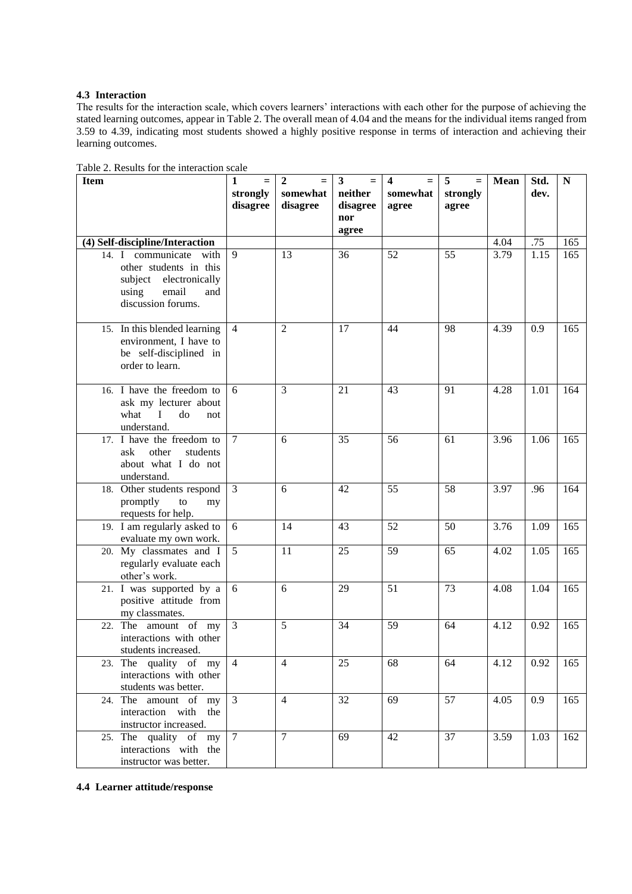# **4.3 Interaction**

The results for the interaction scale, which covers learners' interactions with each other for the purpose of achieving the stated learning outcomes, appear in Table 2. The overall mean of 4.04 and the means for the individual items ranged from 3.59 to 4.39, indicating most students showed a highly positive response in terms of interaction and achieving their learning outcomes.

| <b>Item</b>                                                                                                               | 1<br>$=$<br>strongly<br>disagree | 2<br>somewhat<br>disagree | 3<br>neither<br>disagree | 4<br>somewhat<br>agree | 5<br>$=$<br>strongly<br>agree | <b>Mean</b> | Std.<br>dev. | ${\bf N}$ |
|---------------------------------------------------------------------------------------------------------------------------|----------------------------------|---------------------------|--------------------------|------------------------|-------------------------------|-------------|--------------|-----------|
|                                                                                                                           |                                  |                           | nor<br>agree             |                        |                               |             |              |           |
| (4) Self-discipline/Interaction                                                                                           |                                  |                           |                          |                        |                               | 4.04        | .75          | 165       |
| 14. I communicate with<br>other students in this<br>subject electronically<br>using<br>email<br>and<br>discussion forums. | 9                                | 13                        | 36                       | 52                     | 55                            | 3.79        | 1.15         | 165       |
| 15. In this blended learning<br>environment, I have to<br>be self-disciplined in<br>order to learn.                       | $\overline{4}$                   | $\overline{c}$            | 17                       | 44                     | 98                            | 4.39        | 0.9          | 165       |
| 16. I have the freedom to<br>ask my lecturer about<br>what<br>$\mathbf{I}$<br>do<br>not<br>understand.                    | 6                                | 3                         | 21                       | 43                     | 91                            | 4.28        | 1.01         | 164       |
| 17. I have the freedom to<br>other<br>students<br>ask<br>about what I do not<br>understand.                               | $\tau$                           | 6                         | 35                       | 56                     | 61                            | 3.96        | 1.06         | 165       |
| 18. Other students respond<br>promptly<br>to<br>my<br>requests for help.                                                  | $\overline{3}$                   | 6                         | 42                       | 55                     | 58                            | 3.97        | .96          | 164       |
| 19. I am regularly asked to<br>evaluate my own work.                                                                      | 6                                | 14                        | 43                       | 52                     | 50                            | 3.76        | 1.09         | 165       |
| 20. My classmates and I<br>regularly evaluate each<br>other's work.                                                       | 5                                | 11                        | 25                       | 59                     | 65                            | 4.02        | 1.05         | 165       |
| 21. I was supported by a<br>positive attitude from<br>my classmates.                                                      | 6                                | 6                         | 29                       | 51                     | 73                            | 4.08        | 1.04         | 165       |
| 22. The amount of my<br>interactions with other<br>students increased.                                                    | $\overline{3}$                   | 5                         | 34                       | 59                     | 64                            | 4.12        | 0.92         | 165       |
| 23. The quality of $\overline{my}$<br>interactions with other<br>students was better.                                     | $\overline{4}$                   | $\overline{4}$            | 25                       | 68                     | 64                            | 4.12        | 0.92         | 165       |
| 24. The amount of my<br>interaction with the<br>instructor increased.                                                     | 3                                | $\overline{4}$            | 32                       | 69                     | 57                            | 4.05        | 0.9          | 165       |
| 25. The quality of my<br>interactions with the<br>instructor was better.                                                  | $\tau$                           | $\overline{7}$            | 69                       | 42                     | 37                            | 3.59        | 1.03         | 162       |

Table 2. Results for the interaction scale

# **4.4 Learner attitude/response**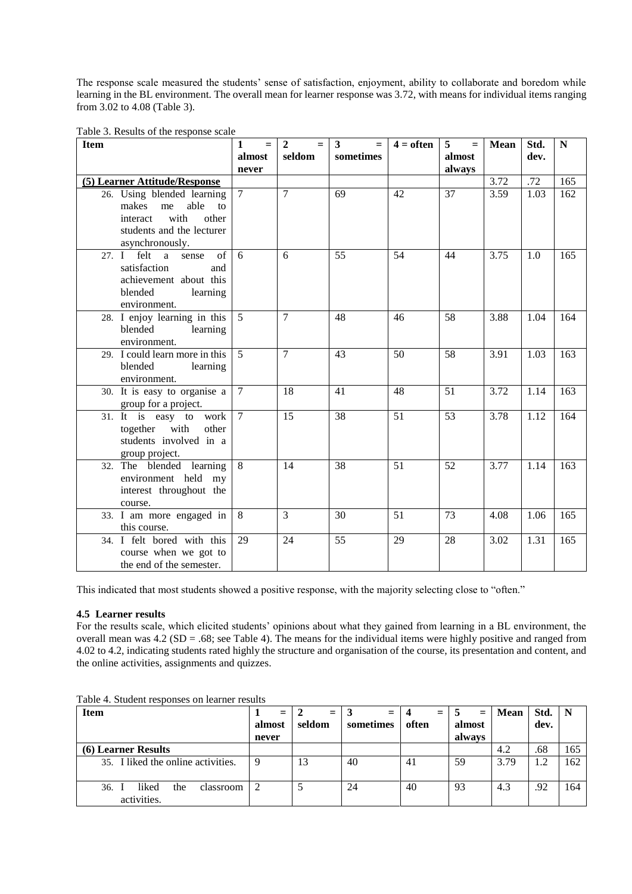The response scale measured the students' sense of satisfaction, enjoyment, ability to collaborate and boredom while learning in the BL environment. The overall mean for learner response was 3.72, with means for individual items ranging from 3.02 to 4.08 (Table 3).

|  |  |  | Table 3. Results of the response scale |  |
|--|--|--|----------------------------------------|--|
|--|--|--|----------------------------------------|--|

| <b>Item</b>                                                                                                                          | $\mathbf{1}$<br>$=$ | $\mathbf{2}$<br>$=$ | 3<br>$=$  | $4 =$ often | 5<br>$=$ | <b>Mean</b> | Std. | $\mathbf N$ |
|--------------------------------------------------------------------------------------------------------------------------------------|---------------------|---------------------|-----------|-------------|----------|-------------|------|-------------|
|                                                                                                                                      | almost              | seldom              | sometimes |             | almost   |             | dev. |             |
|                                                                                                                                      | never               |                     |           |             | always   |             |      |             |
| (5) Learner Attitude/Response                                                                                                        |                     |                     |           |             |          | 3.72        | .72  | 165         |
| 26. Using blended learning<br>able<br>makes<br>me<br>to<br>with<br>other<br>interact<br>students and the lecturer<br>asynchronously. | $\overline{7}$      | $\overline{7}$      | 69        | 42          | 37       | 3.59        | 1.03 | 162         |
| 27. $I$ felt a<br>of<br>sense<br>satisfaction<br>and<br>achievement about this<br>blended<br>learning<br>environment.                | 6                   | 6                   | 55        | 54          | 44       | 3.75        | 1.0  | 165         |
| 28. I enjoy learning in this<br>blended<br>learning<br>environment.                                                                  | $5^{\circ}$         | $\tau$              | 48        | 46          | 58       | 3.88        | 1.04 | 164         |
| 29. I could learn more in this<br>blended<br>learning<br>environment.                                                                | $\overline{5}$      | $\overline{7}$      | 43        | 50          | 58       | 3.91        | 1.03 | 163         |
| 30. It is easy to organise a<br>group for a project.                                                                                 | $\tau$              | 18                  | 41        | 48          | 51       | 3.72        | 1.14 | 163         |
| 31. It is easy to work<br>together with<br>other<br>students involved in a<br>group project.                                         | $\overline{7}$      | 15                  | 38        | 51          | 53       | 3.78        | 1.12 | 164         |
| 32. The blended learning<br>environment held my<br>interest throughout the<br>course.                                                | 8                   | 14                  | 38        | 51          | 52       | 3.77        | 1.14 | 163         |
| 33. I am more engaged in<br>this course.                                                                                             | 8                   | $\overline{3}$      | 30        | 51          | 73       | 4.08        | 1.06 | 165         |
| 34. I felt bored with this<br>course when we got to<br>the end of the semester.                                                      | 29                  | 24                  | 55        | 29          | 28       | 3.02        | 1.31 | 165         |

This indicated that most students showed a positive response, with the majority selecting close to "often."

# **4.5 Learner results**

For the results scale, which elicited students' opinions about what they gained from learning in a BL environment, the overall mean was 4.2 (SD = .68; see Table 4). The means for the individual items were highly positive and ranged from 4.02 to 4.2, indicating students rated highly the structure and organisation of the course, its presentation and content, and the online activities, assignments and quizzes.

| <b>Item</b>                                     | $=$<br>almost | $=$<br>seldom            | $=$<br>sometimes | $=$<br>often | $=$<br>almost | <b>Mean</b> | Std.<br>dev. | $\mathbf N$ |
|-------------------------------------------------|---------------|--------------------------|------------------|--------------|---------------|-------------|--------------|-------------|
|                                                 | never         |                          |                  |              | always        |             |              |             |
| <b>(6) Learner Results</b>                      |               |                          |                  |              |               | 4.2         | .68          | 165         |
| 35. I liked the online activities.              | 9             | 13                       | 40               | 41           | 59            | 3.79        | 1.2          | 162         |
| 36.<br>liked<br>the<br>classroom<br>activities. | 2             | $\overline{\phantom{a}}$ | 24               | 40           | 93            | 4.3         | .92          | 164         |

Table 4. Student responses on learner results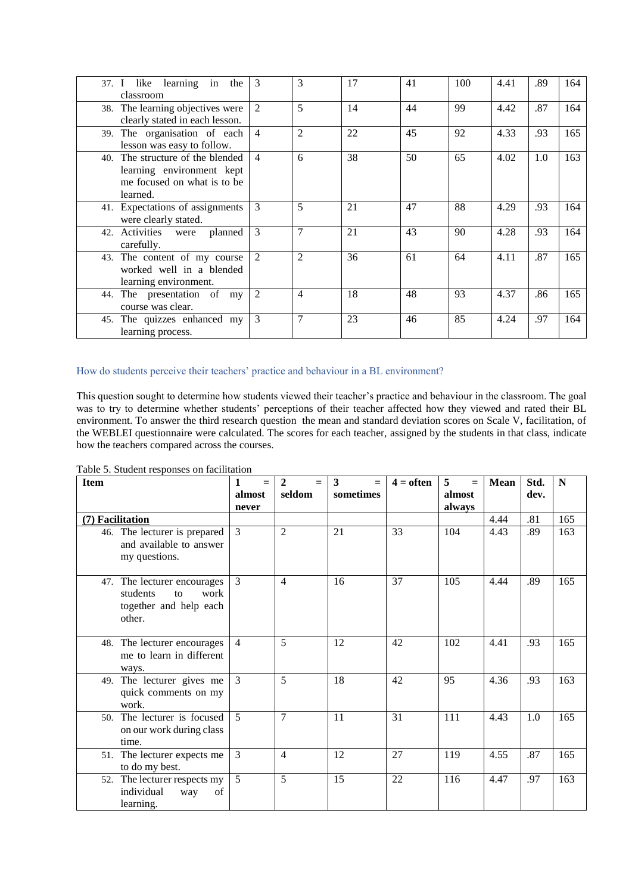| 37. I like learning in<br>the<br>classroom                                                               | 3              | 3              | 17 | 41 | 100 | 4.41 | .89 | 164 |
|----------------------------------------------------------------------------------------------------------|----------------|----------------|----|----|-----|------|-----|-----|
| 38. The learning objectives were<br>clearly stated in each lesson.                                       | 2              | 5              | 14 | 44 | 99  | 4.42 | .87 | 164 |
| 39. The organisation of each<br>lesson was easy to follow.                                               | $\overline{4}$ | $\overline{2}$ | 22 | 45 | 92  | 4.33 | .93 | 165 |
| 40. The structure of the blended<br>learning environment kept<br>me focused on what is to be<br>learned. | $\overline{4}$ | 6              | 38 | 50 | 65  | 4.02 | 1.0 | 163 |
| 41. Expectations of assignments<br>were clearly stated.                                                  | 3              | 5              | 21 | 47 | 88  | 4.29 | .93 | 164 |
| 42. Activities were<br>planned<br>carefully.                                                             | 3              | $\overline{7}$ | 21 | 43 | 90  | 4.28 | .93 | 164 |
| 43. The content of my course<br>worked well in a blended<br>learning environment.                        | $\overline{2}$ | $\overline{2}$ | 36 | 61 | 64  | 4.11 | .87 | 165 |
| 44. The presentation of my<br>course was clear.                                                          | 2              | $\overline{4}$ | 18 | 48 | 93  | 4.37 | .86 | 165 |
| 45. The quizzes enhanced my<br>learning process.                                                         | 3              | $\overline{7}$ | 23 | 46 | 85  | 4.24 | .97 | 164 |

# How do students perceive their teachers' practice and behaviour in a BL environment?

This question sought to determine how students viewed their teacher's practice and behaviour in the classroom. The goal was to try to determine whether students' perceptions of their teacher affected how they viewed and rated their BL environment. To answer the third research question the mean and standard deviation scores on Scale V, facilitation, of the WEBLEI questionnaire were calculated. The scores for each teacher, assigned by the students in that class, indicate how the teachers compared across the courses.

Table 5. Student responses on facilitation

| <b>Item</b>                                                                               | 1<br>$=$       | $\mathbf{2}$<br>$=$ | 3<br>$=$  | $4 =$ often | 5<br>$\equiv$ | Mean | Std. | N   |
|-------------------------------------------------------------------------------------------|----------------|---------------------|-----------|-------------|---------------|------|------|-----|
|                                                                                           | almost         | seldom              | sometimes |             | almost        |      | dev. |     |
|                                                                                           | never          |                     |           |             | always        |      |      |     |
| (7) Facilitation                                                                          |                |                     |           |             |               | 4.44 | .81  | 165 |
| 46. The lecturer is prepared<br>and available to answer<br>my questions.                  | $\mathcal{E}$  | $\overline{c}$      | 21        | 33          | 104           | 4.43 | .89  | 163 |
| 47. The lecturer encourages<br>students<br>work<br>to<br>together and help each<br>other. | 3              | 4                   | 16        | 37          | 105           | 4.44 | .89  | 165 |
| 48. The lecturer encourages<br>me to learn in different<br>ways.                          | $\overline{4}$ | 5                   | 12        | 42          | 102           | 4.41 | .93  | 165 |
| 49. The lecturer gives me<br>quick comments on my<br>work.                                | $\mathcal{F}$  | 5                   | 18        | 42          | 95            | 4.36 | .93  | 163 |
| 50. The lecturer is focused<br>on our work during class<br>time.                          | $\overline{5}$ | 7                   | 11        | 31          | 111           | 4.43 | 1.0  | 165 |
| 51. The lecturer expects me<br>to do my best.                                             | 3              | $\overline{4}$      | 12        | 27          | 119           | 4.55 | .87  | 165 |
| 52. The lecturer respects my<br>individual<br>of<br>way<br>learning.                      | 5              | 5                   | 15        | 22          | 116           | 4.47 | .97  | 163 |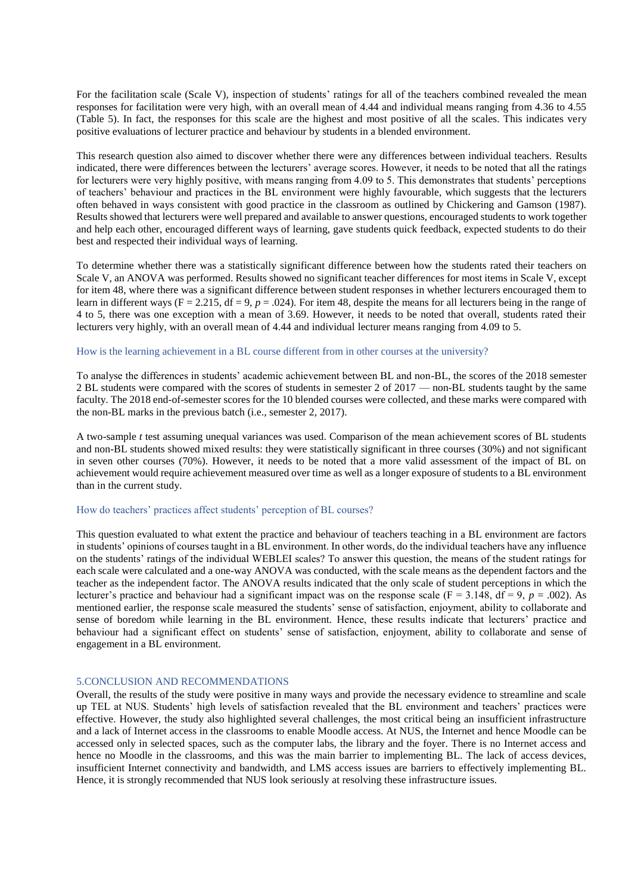For the facilitation scale (Scale V), inspection of students' ratings for all of the teachers combined revealed the mean responses for facilitation were very high, with an overall mean of 4.44 and individual means ranging from 4.36 to 4.55 (Table 5). In fact, the responses for this scale are the highest and most positive of all the scales. This indicates very positive evaluations of lecturer practice and behaviour by students in a blended environment.

This research question also aimed to discover whether there were any differences between individual teachers. Results indicated, there were differences between the lecturers' average scores. However, it needs to be noted that all the ratings for lecturers were very highly positive, with means ranging from 4.09 to 5. This demonstrates that students' perceptions of teachers' behaviour and practices in the BL environment were highly favourable, which suggests that the lecturers often behaved in ways consistent with good practice in the classroom as outlined by Chickering and Gamson (1987). Results showed that lecturers were well prepared and available to answer questions, encouraged students to work together and help each other, encouraged different ways of learning, gave students quick feedback, expected students to do their best and respected their individual ways of learning.

To determine whether there was a statistically significant difference between how the students rated their teachers on Scale V, an ANOVA was performed. Results showed no significant teacher differences for most items in Scale V, except for item 48, where there was a significant difference between student responses in whether lecturers encouraged them to learn in different ways (F = 2.215, df = 9, *p* = .024). For item 48, despite the means for all lecturers being in the range of 4 to 5, there was one exception with a mean of 3.69. However, it needs to be noted that overall, students rated their lecturers very highly, with an overall mean of 4.44 and individual lecturer means ranging from 4.09 to 5.

#### How is the learning achievement in a BL course different from in other courses at the university?

To analyse the differences in students' academic achievement between BL and non-BL, the scores of the 2018 semester 2 BL students were compared with the scores of students in semester 2 of 2017 — non-BL students taught by the same faculty. The 2018 end-of-semester scores for the 10 blended courses were collected, and these marks were compared with the non-BL marks in the previous batch (i.e., semester 2, 2017).

A two-sample *t* test assuming unequal variances was used. Comparison of the mean achievement scores of BL students and non-BL students showed mixed results: they were statistically significant in three courses (30%) and not significant in seven other courses (70%). However, it needs to be noted that a more valid assessment of the impact of BL on achievement would require achievement measured over time as well as a longer exposure of students to a BL environment than in the current study.

#### How do teachers' practices affect students' perception of BL courses?

This question evaluated to what extent the practice and behaviour of teachers teaching in a BL environment are factors in students' opinions of courses taught in a BL environment. In other words, do the individual teachers have any influence on the students' ratings of the individual WEBLEI scales? To answer this question, the means of the student ratings for each scale were calculated and a one-way ANOVA was conducted, with the scale means as the dependent factors and the teacher as the independent factor. The ANOVA results indicated that the only scale of student perceptions in which the lecturer's practice and behaviour had a significant impact was on the response scale ( $F = 3.148$ ,  $df = 9$ ,  $p = .002$ ). As mentioned earlier, the response scale measured the students' sense of satisfaction, enjoyment, ability to collaborate and sense of boredom while learning in the BL environment. Hence, these results indicate that lecturers' practice and behaviour had a significant effect on students' sense of satisfaction, enjoyment, ability to collaborate and sense of engagement in a BL environment.

## 5.CONCLUSION AND RECOMMENDATIONS

Overall, the results of the study were positive in many ways and provide the necessary evidence to streamline and scale up TEL at NUS. Students' high levels of satisfaction revealed that the BL environment and teachers' practices were effective. However, the study also highlighted several challenges, the most critical being an insufficient infrastructure and a lack of Internet access in the classrooms to enable Moodle access. At NUS, the Internet and hence Moodle can be accessed only in selected spaces, such as the computer labs, the library and the foyer. There is no Internet access and hence no Moodle in the classrooms, and this was the main barrier to implementing BL. The lack of access devices, insufficient Internet connectivity and bandwidth, and LMS access issues are barriers to effectively implementing BL. Hence, it is strongly recommended that NUS look seriously at resolving these infrastructure issues.